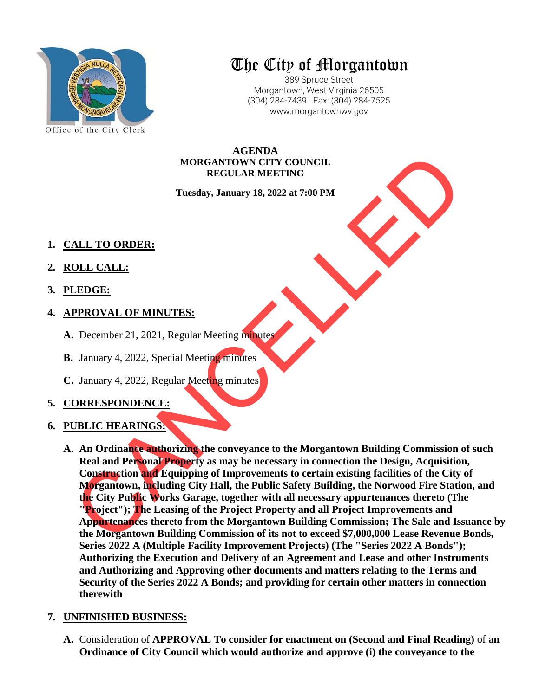

# The City of Morgantown

389 Spruce Street Morgantown, West Virginia 26505 (304) 284-7439 Fax: (304) 284-7525 www.morgantownwv.gov

**AGENDA MORGANTOWN CITY COUNCIL REGULAR MEETING**

**Tuesday, January 18, 2022 at 7:00 PM**

- **1. CALL TO ORDER:**
- **2. ROLL CALL:**
- **3. PLEDGE:**
- **4. APPROVAL OF MINUTES:**
	- **A.** December 21, 2021, Regular Meeting minutes
	- **B.** January 4, 2022, Special Meeting minutes
	- **C.** January 4, 2022, Regular Meeting minutes

## **5. CORRESPONDENCE:**

## **6. PUBLIC HEARINGS:**

MORGANTOWN CITY COUNCIL<br>
REGULAR MEETING<br>
Tuesday, January 18, 2022 at 7:00 PM<br>
Tuesday, January 18, 2022 at 7:00 PM<br>
ALL TO ORDER:<br>
CLEDGE:<br>
CREEN COVAL OF MINUTES:<br>
DELC HEARINGS:<br>
January 4, 2022, Regular Meeting minute **A. An Ordinance authorizing the conveyance to the Morgantown Building Commission of such Real and Personal Property as may be necessary in connection the Design, Acquisition, Construction and Equipping of Improvements to certain existing facilities of the City of Morgantown, including City Hall, the Public Safety Building, the Norwood Fire Station, and the City Public Works Garage, together with all necessary appurtenances thereto (The "Project"); The Leasing of the Project Property and all Project Improvements and Appurtenances thereto from the Morgantown Building Commission; The Sale and Issuance by the Morgantown Building Commission of its not to exceed \$7,000,000 Lease Revenue Bonds, Series 2022 A (Multiple Facility Improvement Projects) (The "Series 2022 A Bonds"); Authorizing the Execution and Delivery of an Agreement and Lease and other Instruments and Authorizing and Approving other documents and matters relating to the Terms and Security of the Series 2022 A Bonds; and providing for certain other matters in connection therewith**

## **7. UNFINISHED BUSINESS:**

**A.** Consideration of **APPROVAL To consider for enactment on (Second and Final Reading)** of **an Ordinance of City Council which would authorize and approve (i) the conveyance to the**